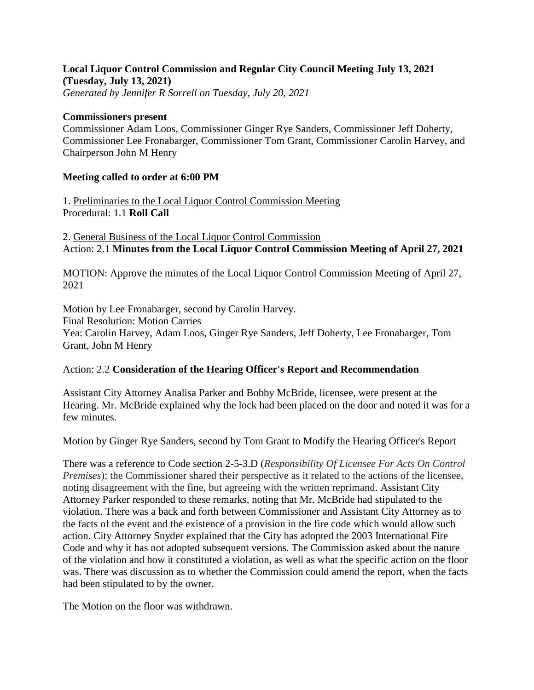## **Local Liquor Control Commission and Regular City Council Meeting July 13, 2021 (Tuesday, July 13, 2021)**

*Generated by Jennifer R Sorrell on Tuesday, July 20, 2021*

## **Commissioners present**

Commissioner Adam Loos, Commissioner Ginger Rye Sanders, Commissioner Jeff Doherty, Commissioner Lee Fronabarger, Commissioner Tom Grant, Commissioner Carolin Harvey, and Chairperson John M Henry

## **Meeting called to order at 6:00 PM**

1. Preliminaries to the Local Liquor Control Commission Meeting Procedural: 1.1 **Roll Call**

2. General Business of the Local Liquor Control Commission Action: 2.1 **Minutes from the Local Liquor Control Commission Meeting of April 27, 2021**

MOTION: Approve the minutes of the Local Liquor Control Commission Meeting of April 27, 2021

Motion by Lee Fronabarger, second by Carolin Harvey. Final Resolution: Motion Carries Yea: Carolin Harvey, Adam Loos, Ginger Rye Sanders, Jeff Doherty, Lee Fronabarger, Tom Grant, John M Henry

## Action: 2.2 **Consideration of the Hearing Officer's Report and Recommendation**

Assistant City Attorney Analisa Parker and Bobby McBride, licensee, were present at the Hearing. Mr. McBride explained why the lock had been placed on the door and noted it was for a few minutes.

Motion by Ginger Rye Sanders, second by Tom Grant to Modify the Hearing Officer's Report

There was a reference to Code section 2-5-3.D (*Responsibility Of Licensee For Acts On Control Premises*); the Commissioner shared their perspective as it related to the actions of the licensee, noting disagreement with the fine, but agreeing with the written reprimand. Assistant City Attorney Parker responded to these remarks, noting that Mr. McBride had stipulated to the violation. There was a back and forth between Commissioner and Assistant City Attorney as to the facts of the event and the existence of a provision in the fire code which would allow such action. City Attorney Snyder explained that the City has adopted the 2003 International Fire Code and why it has not adopted subsequent versions. The Commission asked about the nature of the violation and how it constituted a violation, as well as what the specific action on the floor was. There was discussion as to whether the Commission could amend the report, when the facts had been stipulated to by the owner.

The Motion on the floor was withdrawn.